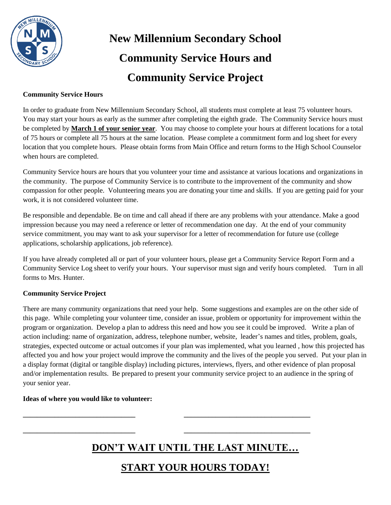

# **New Millennium Secondary School Community Service Hours and Community Service Project**

#### **Community Service Hours**

In order to graduate from New Millennium Secondary School, all students must complete at least 75 volunteer hours. You may start your hours as early as the summer after completing the eighth grade. The Community Service hours must be completed by **March 1 of your senior year**. You may choose to complete your hours at different locations for a total of 75 hours or complete all 75 hours at the same location. Please complete a commitment form and log sheet for every location that you complete hours. Please obtain forms from Main Office and return forms to the High School Counselor when hours are completed.

Community Service hours are hours that you volunteer your time and assistance at various locations and organizations in the community. The purpose of Community Service is to contribute to the improvement of the community and show compassion for other people. Volunteering means you are donating your time and skills. If you are getting paid for your work, it is not considered volunteer time.

Be responsible and dependable. Be on time and call ahead if there are any problems with your attendance. Make a good impression because you may need a reference or letter of recommendation one day. At the end of your community service commitment, you may want to ask your supervisor for a letter of recommendation for future use (college applications, scholarship applications, job reference).

If you have already completed all or part of your volunteer hours, please get a Community Service Report Form and a Community Service Log sheet to verify your hours. Your supervisor must sign and verify hours completed. Turn in all forms to Mrs. Hunter.

#### **Community Service Project**

There are many community organizations that need your help. Some suggestions and examples are on the other side of this page. While completing your volunteer time, consider an issue, problem or opportunity for improvement within the program or organization. Develop a plan to address this need and how you see it could be improved. Write a plan of action including: name of organization, address, telephone number, website, leader's names and titles, problem, goals, strategies, expected outcome or actual outcomes if your plan was implemented, what you learned , how this projected has affected you and how your project would improve the community and the lives of the people you served. Put your plan in a display format (digital or tangible display) including pictures, interviews, flyers, and other evidence of plan proposal and/or implementation results. Be prepared to present your community service project to an audience in the spring of your senior year.

#### **Ideas of where you would like to volunteer:**

**DON'T WAIT UNTIL THE LAST MINUTE…**

**\_\_\_\_\_\_\_\_\_\_\_\_\_\_\_\_\_\_\_\_\_\_\_\_\_\_\_\_\_\_\_\_ \_\_\_\_\_\_\_\_\_\_\_\_\_\_\_\_\_\_\_\_\_\_\_\_\_\_\_\_\_\_\_\_\_\_\_\_**

**\_\_\_\_\_\_\_\_\_\_\_\_\_\_\_\_\_\_\_\_\_\_\_\_\_\_\_\_\_\_\_\_ \_\_\_\_\_\_\_\_\_\_\_\_\_\_\_\_\_\_\_\_\_\_\_\_\_\_\_\_\_\_\_\_\_\_\_\_**

### **START YOUR HOURS TODAY!**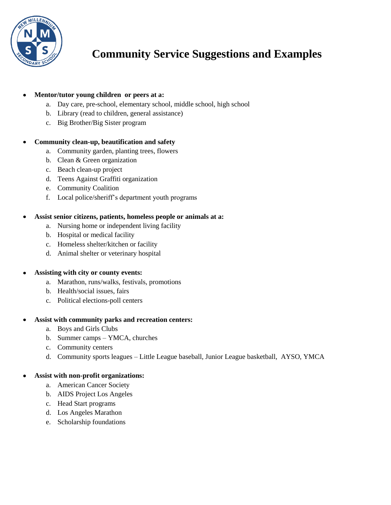

## **Community Service Suggestions and Examples**

#### **Mentor/tutor young children or peers at a:**

- a. Day care, pre-school, elementary school, middle school, high school
- b. Library (read to children, general assistance)
- c. Big Brother/Big Sister program

#### **Community clean-up, beautification and safety**

- a. Community garden, planting trees, flowers
- b. Clean & Green organization
- c. Beach clean-up project
- d. Teens Against Graffiti organization
- e. Community Coalition
- f. Local police/sheriff's department youth programs

#### **Assist senior citizens, patients, homeless people or animals at a:**

- a. Nursing home or independent living facility
- b. Hospital or medical facility
- c. Homeless shelter/kitchen or facility
- d. Animal shelter or veterinary hospital

#### **Assisting with city or county events:**

- a. Marathon, runs/walks, festivals, promotions
- b. Health/social issues, fairs
- c. Political elections-poll centers

#### **Assist with community parks and recreation centers:**

- a. Boys and Girls Clubs
- b. Summer camps YMCA, churches
- c. Community centers
- d. Community sports leagues Little League baseball, Junior League basketball, AYSO, YMCA

#### **Assist with non-profit organizations:**

- a. American Cancer Society
- b. AIDS Project Los Angeles
- c. Head Start programs
- d. Los Angeles Marathon
- e. Scholarship foundations